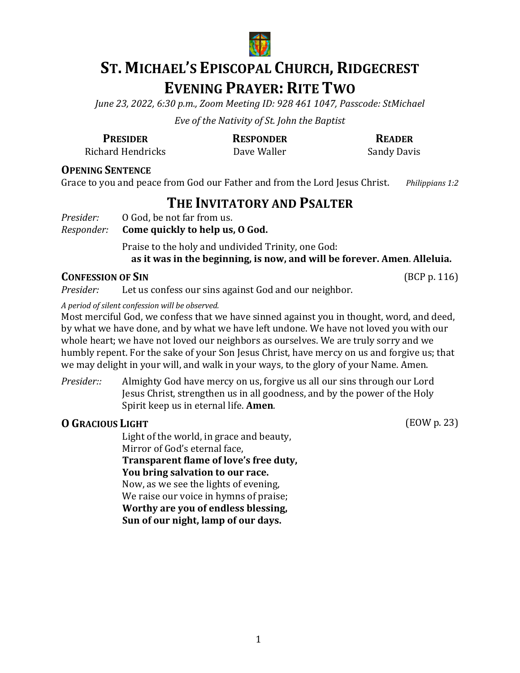

# **ST. MICHAEL'S EPISCOPAL CHURCH, RIDGECREST EVENING PRAYER: RITE TWO**

*June 23, 2022, 6:30 p.m., Zoom Meeting ID: 928 461 1047, Passcode: StMichael*

*Eve of the Nativity of St. John the Baptist* 

**PRESIDER RESPONDER READER** Richard Hendricks **Dave Waller** Sandy Davis

**OPENING SENTENCE** 

Grace to you and peace from God our Father and from the Lord Jesus Christ. *Philippians 1:2* 

# **THE INVITATORY AND PSALTER**

*Presider:* 0 God, be not far from us.<br>*Responder:* **Come quickly to help us,** 

#### *Come quickly to help us, O God.*

Praise to the holy and undivided Trinity, one God: as it was in the beginning, is now, and will be forever. Amen. Alleluia.

**CONFESSION OF SIN** (BCP p. 116)<br>*Presider:* Let us confess our sins against God and our neighbor. Let us confess our sins against God and our neighbor.

*A period of silent confession will be observed.*

Most merciful God, we confess that we have sinned against you in thought, word, and deed, by what we have done, and by what we have left undone. We have not loved you with our whole heart; we have not loved our neighbors as ourselves. We are truly sorry and we humbly repent. For the sake of your Son Jesus Christ, have mercy on us and forgive us; that we may delight in your will, and walk in your ways, to the glory of your Name. Amen.

*Presider::* Almighty God have mercy on us, forgive us all our sins through our Lord Jesus Christ, strengthen us in all goodness, and by the power of the Holy Spirit keep us in eternal life. **Amen**.

### **O** GRACIOUS LIGHT (EOW p. 23)

Light of the world, in grace and beauty, Mirror of God's eternal face, **Transparent flame of love's free duty,** You bring salvation to our race. Now, as we see the lights of evening, We raise our voice in hymns of praise; **Worthy are you of endless blessing, Sun of our night, lamp of our days.**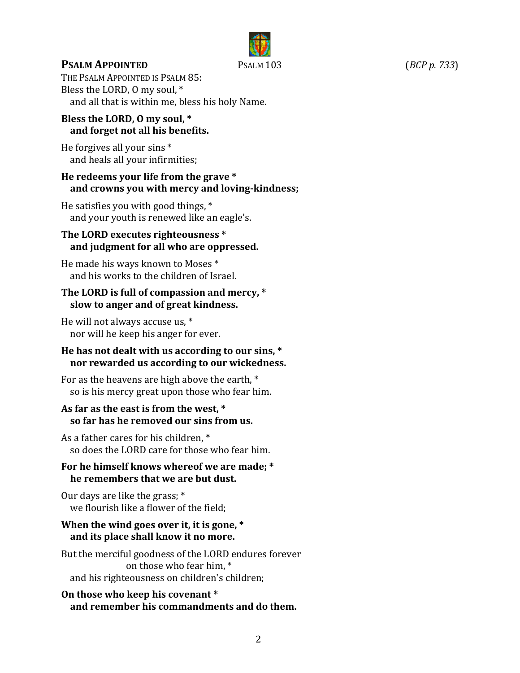

### **PSALM APPOINTED** PSALM 103 (*BCP p. 733*)

THE PSALM APPOINTED IS PSALM 85: Bless the LORD, O my soul. \* and all that is within me, bless his holy Name.

#### Bless the LORD, 0 my soul, \* and forget not all his benefits.

He forgives all your sins  $*$ and heals all your infirmities;

#### He redeems your life from the grave \* and crowns you with mercy and loving-kindness;

He satisfies you with good things,  $*$ and your youth is renewed like an eagle's.

#### The LORD executes righteousness \* and judgment for all who are oppressed.

He made his ways known to Moses \* and his works to the children of Israel.

#### The LORD is full of compassion and mercy,  $*$  **slow to anger and of great kindness.**

He will not always accuse us,  $*$ nor will he keep his anger for ever.

#### He has not dealt with us according to our sins, \* **nor rewarded us according to our wickedness.**

For as the heavens are high above the earth,  $*$ so is his mercy great upon those who fear him.

#### As far as the east is from the west, \* **so far has he removed our sins from us.**

As a father cares for his children, \* so does the LORD care for those who fear him.

#### For he himself knows whereof we are made; \* **he remembers that we are but dust.**

Our days are like the grass;  $*$ we flourish like a flower of the field;

#### When the wind goes over it, it is gone, \* and its place shall know it no more.

But the merciful goodness of the LORD endures forever on those who fear him, \* and his righteousness on children's children;

#### **On those who keep his covenant** \* and remember his commandments and do them.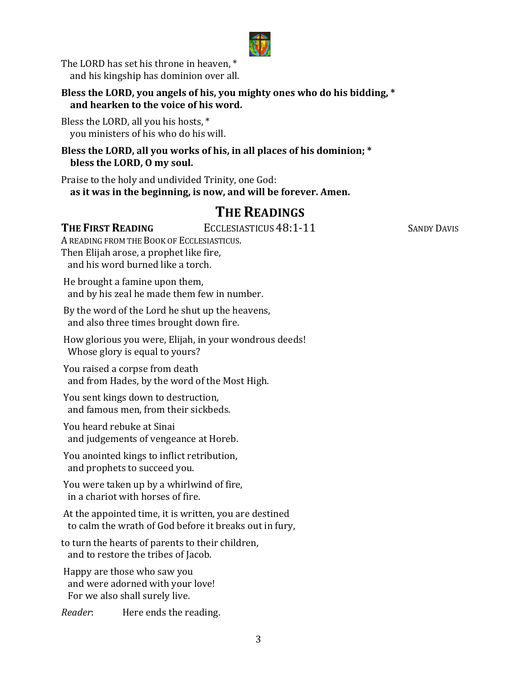The LORD has set his throne in heaven. \* and his kingship has dominion over all.

Bless the LORD, you angels of his, you mighty ones who do his bidding, \* and hearken to the voice of his word.

Bless the LORD, all you his hosts,  $*$ you ministers of his who do his will.

#### **Bless the LORD, all you works of his, in all places of his dominion;** \* bless the LORD, 0 my soul.

Praise to the holy and undivided Trinity, one God: as it was in the beginning, is now, and will be forever. Amen.

# **THE READINGS**

**THE FIRST READING ECCLESIASTICUS** 48:1-11 SANDY DAVIS

A READING FROM THE BOOK OF ECCLESIASTICUS. Then Elijah arose, a prophet like fire, and his word burned like a torch.

He brought a famine upon them, and by his zeal he made them few in number.

By the word of the Lord he shut up the heavens, and also three times brought down fire.

How glorious you were, Elijah, in your wondrous deeds! Whose glory is equal to yours?

You raised a corpse from death and from Hades, by the word of the Most High.

You sent kings down to destruction, and famous men, from their sickbeds.

You heard rebuke at Sinai and judgements of vengeance at Horeb.

You anointed kings to inflict retribution, and prophets to succeed you.

You were taken up by a whirlwind of fire, in a chariot with horses of fire.

At the appointed time, it is written, you are destined to calm the wrath of God before it breaks out in fury,

to turn the hearts of parents to their children, and to restore the tribes of Jacob.

Happy are those who saw you and were adorned with your love! For we also shall surely live.

*Reader*: Here ends the reading.

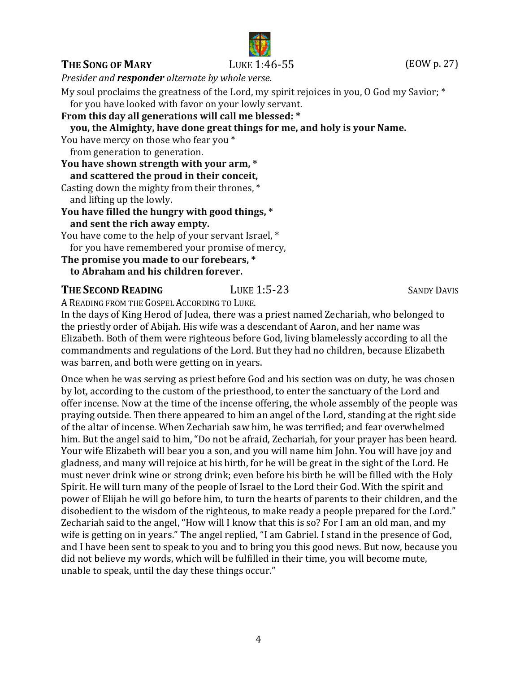#### **THE SONG OF MARY** LUKE 1:46-55 (EOW p. 27)

*Presider and responder alternate by whole verse.*

My soul proclaims the greatness of the Lord, my spirit rejoices in you, O God my Savior;  $*$ 

for you have looked with favor on your lowly servant.

**From this day all generations will call me blessed: \***

 **you, the Almighty, have done great things for me, and holy is your Name.**

You have mercy on those who fear you \* from generation to generation.

**You have shown strength with your arm, \* and scattered the proud in their conceit,** Casting down the mighty from their thrones,  $*$ and lifting up the lowly. **You have filled the hungry with good things, \***

 **and sent the rich away empty.**

You have come to the help of your servant Israel, \* for you have remembered your promise of mercy,

**The promise you made to our forebears, \***

#### **to Abraham and his children forever.**

#### **THE SECOND READING** LUKE 1:5-23 SANDY DAVIS

A READING FROM THE GOSPEL ACCORDING TO LUKE.

In the days of King Herod of Judea, there was a priest named Zechariah, who belonged to the priestly order of Abijah. His wife was a descendant of Aaron, and her name was Elizabeth. Both of them were righteous before God, living blamelessly according to all the commandments and regulations of the Lord. But they had no children, because Elizabeth was barren, and both were getting on in years.

Once when he was serving as priest before God and his section was on duty, he was chosen by lot, according to the custom of the priesthood, to enter the sanctuary of the Lord and offer incense. Now at the time of the incense offering, the whole assembly of the people was praying outside. Then there appeared to him an angel of the Lord, standing at the right side of the altar of incense. When Zechariah saw him, he was terrified; and fear overwhelmed him. But the angel said to him, "Do not be afraid, Zechariah, for your prayer has been heard. Your wife Elizabeth will bear you a son, and you will name him John. You will have joy and gladness, and many will rejoice at his birth, for he will be great in the sight of the Lord. He must never drink wine or strong drink; even before his birth he will be filled with the Holy Spirit. He will turn many of the people of Israel to the Lord their God. With the spirit and power of Elijah he will go before him, to turn the hearts of parents to their children, and the disobedient to the wisdom of the righteous, to make ready a people prepared for the Lord." Zechariah said to the angel, "How will I know that this is so? For I am an old man, and my wife is getting on in years." The angel replied, "I am Gabriel. I stand in the presence of God, and I have been sent to speak to you and to bring you this good news. But now, because you did not believe my words, which will be fulfilled in their time, you will become mute, unable to speak, until the day these things occur."

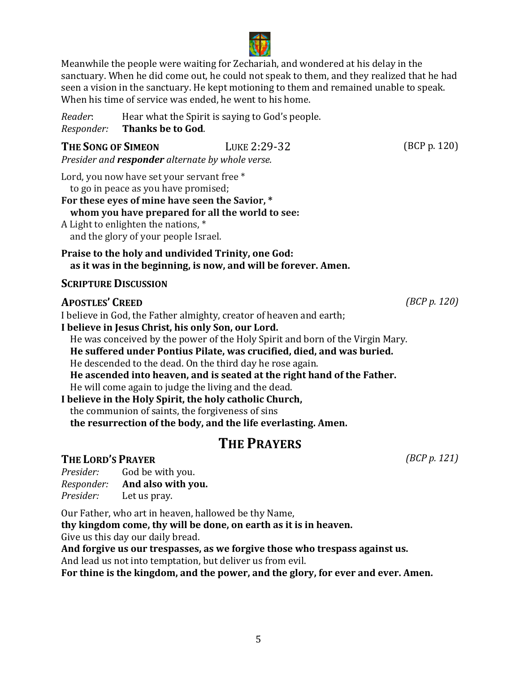sanctuary. When he did come out, he could not speak to them, and they realized that he had seen a vision in the sanctuary. He kept motioning to them and remained unable to speak. When his time of service was ended, he went to his home. *Reader*: Hear what the Spirit is saying to God's people.<br>*Responder:* Thanks be to God. **Thanks be to God.** 

Meanwhile the people were waiting for Zechariah, and wondered at his delay in the

# **THE SONG OF SIMEON** LUKE 2:29-32 (BCP p. 120)

*Presider and responder alternate by whole verse.* 

Lord, you now have set your servant free \*

to go in peace as you have promised;

#### For these eyes of mine have seen the Savior, \* **whom you have prepared for all the world to see:** A Light to enlighten the nations,  $*$

and the glory of your people Israel.

### **Praise to the holy and undivided Trinity, one God: as it was in the beginning, is now, and will be forever. Amen.**

# **SCRIPTURE DISCUSSION**

# **APOSTLES' CREED** *(BCP p. 120)*

I believe in God, the Father almighty, creator of heaven and earth;

## I believe in Jesus Christ, his only Son, our Lord.

He was conceived by the power of the Holy Spirit and born of the Virgin Mary.

 **He suffered under Pontius Pilate, was crucified, died, and was buried.**

He descended to the dead. On the third day he rose again.

He ascended into heaven, and is seated at the right hand of the Father.

He will come again to judge the living and the dead.

**I believe in the Holy Spirit, the holy catholic Church,**

the communion of saints, the forgiveness of sins

the resurrection of the body, and the life everlasting. Amen.

# **THE PRAYERS**

# **THE LORD'S PRAYER** *(BCP p. 121)*

*Presider:* God be with you.<br>*Responder:* **And also with you.** *Responder:* **And also with you.** *Presider:* Let us pray.

Our Father, who art in heaven, hallowed be thy Name,

**thy kingdom come, thy will be done, on earth as it is in heaven.**

Give us this day our daily bread.

And forgive us our trespasses, as we forgive those who trespass against us. And lead us not into temptation, but deliver us from evil.

For thine is the kingdom, and the power, and the glory, for ever and ever. Amen.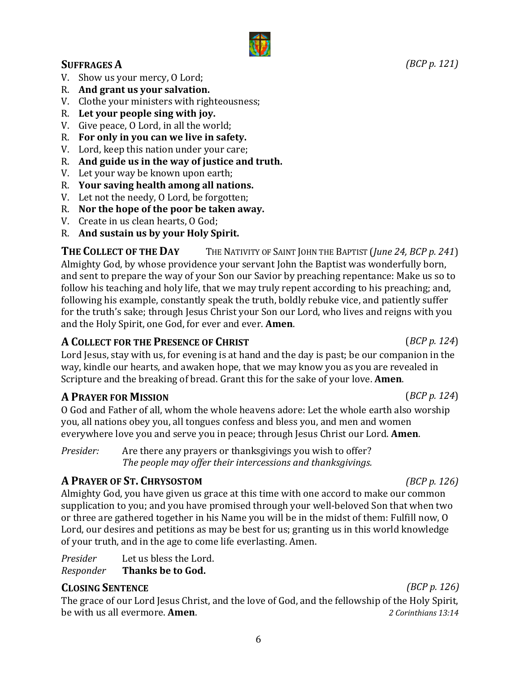### **SUFFRAGES A** *(BCP p. 121)*

- V. Show us your mercy, O Lord;
- R. And grant us your salvation.
- V. Clothe your ministers with righteousness;
- R. Let your people sing with joy.
- V. Give peace, O Lord, in all the world;
- R. For only in you can we live in safety.
- V. Lord, keep this nation under your care;
- R. And guide us in the way of justice and truth.
- V. Let your way be known upon earth;
- R. Your saving health among all nations.
- V. Let not the needy, O Lord, be forgotten;
- R. Nor the hope of the poor be taken away.
- V. Create in us clean hearts, O God;
- R. And sustain us by your Holy Spirit.

**THE COLLECT OF THE DAY** THE NATIVITY OF SAINT JOHN THE BAPTIST (*June 24, BCP p. 241*) Almighty God, by whose providence your servant John the Baptist was wonderfully born, and sent to prepare the way of your Son our Savior by preaching repentance: Make us so to follow his teaching and holy life, that we may truly repent according to his preaching; and, following his example, constantly speak the truth, boldly rebuke vice, and patiently suffer for the truth's sake; through Jesus Christ your Son our Lord, who lives and reigns with you and the Holy Spirit, one God, for ever and ever. **Amen**.

### A **COLLECT FOR THE PRESENCE OF CHRIST** (*BCP p.* 124)

Lord Jesus, stay with us, for evening is at hand and the day is past; be our companion in the way, kindle our hearts, and awaken hope, that we may know you as you are revealed in Scripture and the breaking of bread. Grant this for the sake of your love. **Amen**.

### **A PRAYER FOR MISSION** (*BCP p.* 124)

O God and Father of all, whom the whole heavens adore: Let the whole earth also worship you, all nations obey you, all tongues confess and bless you, and men and women everywhere love you and serve you in peace; through Jesus Christ our Lord. **Amen**.

*Presider:* Are there any prayers or thanksgivings you wish to offer? *The people may offer their intercessions and thanksgivings.* 

### **A PRAYER OF ST. CHRYSOSTOM** *(BCP p. 126)*

Almighty God, you have given us grace at this time with one accord to make our common supplication to you; and you have promised through your well-beloved Son that when two or three are gathered together in his Name you will be in the midst of them: Fulfill now, O Lord, our desires and petitions as may be best for us; granting us in this world knowledge of your truth, and in the age to come life everlasting. Amen.

*Presider* Let us bless the Lord.<br>*Responder* **Thanks be to God. Thanks be to God.** 

### **CLOSING SENTENCE** *(BCP p. 126)*

The grace of our Lord Jesus Christ, and the love of God, and the fellowship of the Holy Spirit, **be** with us all evermore. **Amen**. *a 2 Corinthians 13:14*